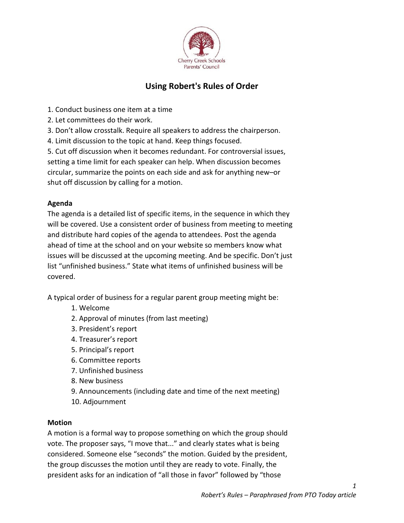

# Using Robert's Rules of Order

- 1. Conduct business one item at a time
- 2. Let committees do their work.
- 3. Don't allow crosstalk. Require all speakers to address the chairperson.
- 4. Limit discussion to the topic at hand. Keep things focused.

5. Cut off discussion when it becomes redundant. For controversial issues, setting a time limit for each speaker can help. When discussion becomes circular, summarize the points on each side and ask for anything new–or shut off discussion by calling for a motion.

## Agenda

The agenda is a detailed list of specific items, in the sequence in which they will be covered. Use a consistent order of business from meeting to meeting and distribute hard copies of the agenda to attendees. Post the agenda ahead of time at the school and on your website so members know what issues will be discussed at the upcoming meeting. And be specific. Don't just list "unfinished business." State what items of unfinished business will be covered.

A typical order of business for a regular parent group meeting might be:

- 1. Welcome
- 2. Approval of minutes (from last meeting)
- 3. President's report
- 4. Treasurer's report
- 5. Principal's report
- 6. Committee reports
- 7. Unfinished business
- 8. New business
- 9. Announcements (including date and time of the next meeting)
- 10. Adjournment

## Motion

A motion is a formal way to propose something on which the group should vote. The proposer says, "I move that..." and clearly states what is being considered. Someone else "seconds" the motion. Guided by the president, the group discusses the motion until they are ready to vote. Finally, the president asks for an indication of "all those in favor" followed by "those